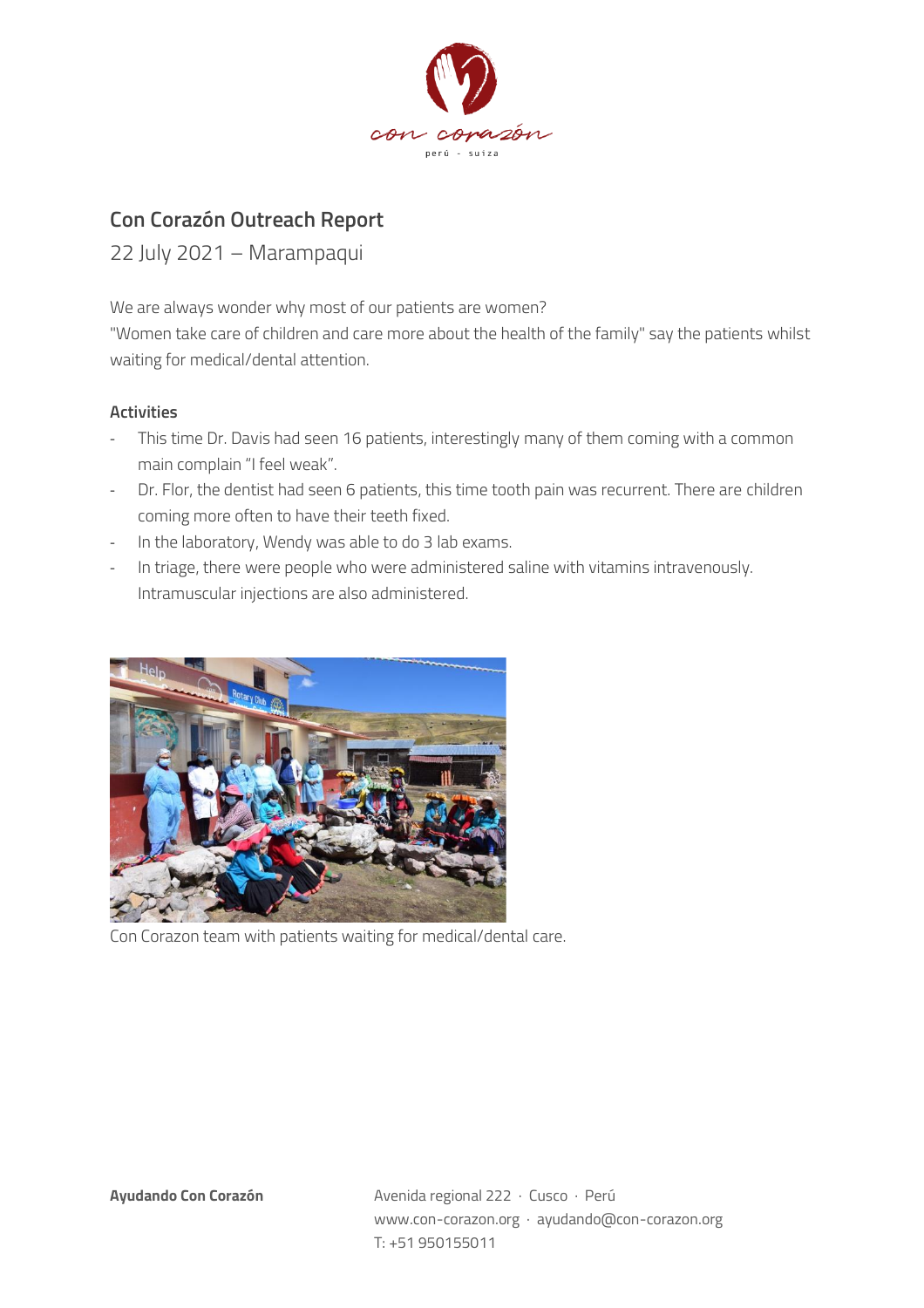

## **Con Corazón Outreach Report**

22 July 2021 – Marampaqui

We are always wonder why most of our patients are women? "Women take care of children and care more about the health of the family" say the patients whilst waiting for medical/dental attention.

## **Activities**

- This time Dr. Davis had seen 16 patients, interestingly many of them coming with a common main complain "I feel weak".
- Dr. Flor, the dentist had seen 6 patients, this time tooth pain was recurrent. There are children coming more often to have their teeth fixed.
- In the laboratory, Wendy was able to do 3 lab exams.
- In triage, there were people who were administered saline with vitamins intravenously. Intramuscular injections are also administered.



Con Corazon team with patients waiting for medical/dental care.

**Ayudando Con Corazón** Avenida regional 222 · Cusco · Perú www.con-corazon.org · ayudando@con-corazon.org T: +51 950155011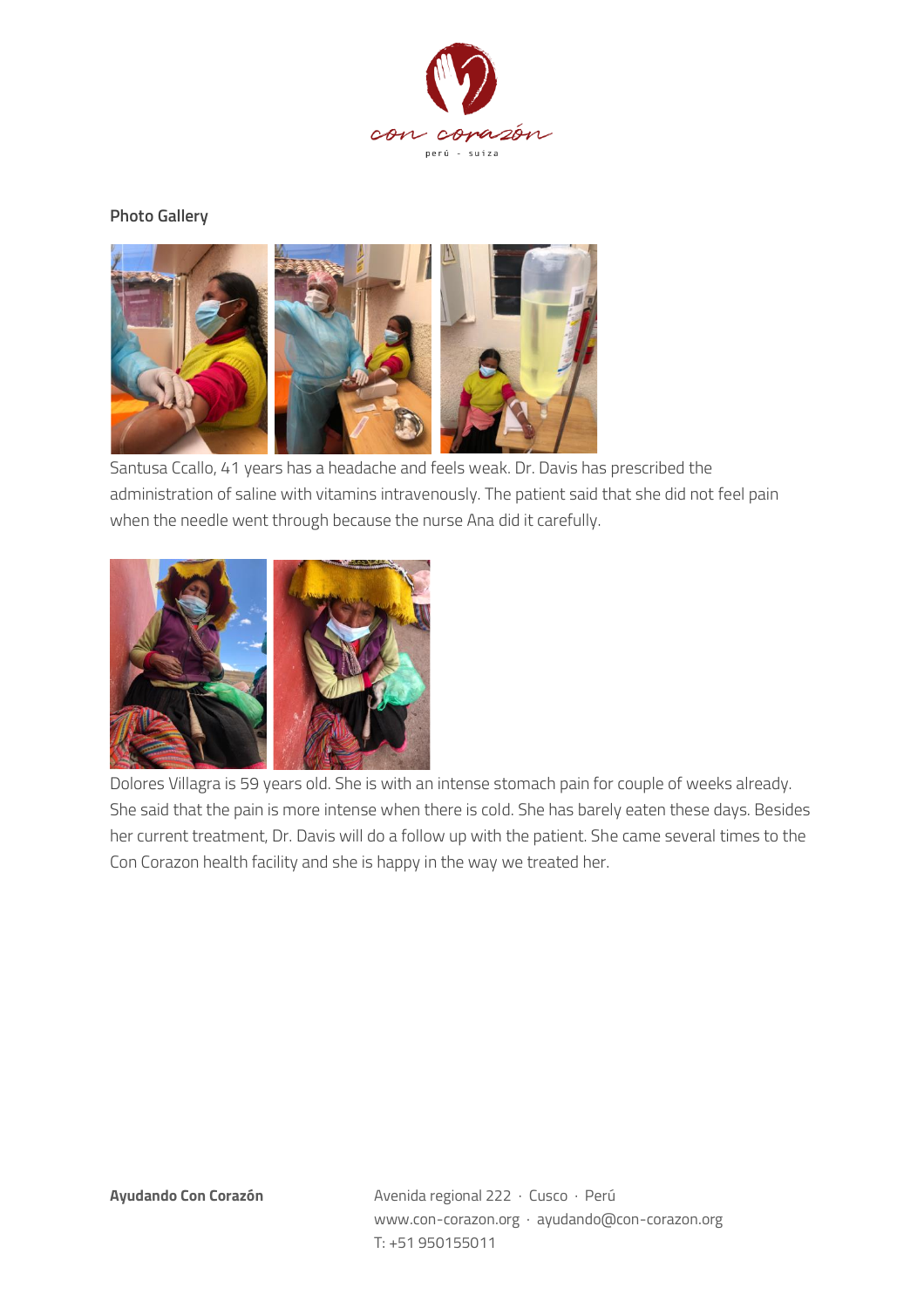

**Photo Gallery** 



Santusa Ccallo, 41 years has a headache and feels weak. Dr. Davis has prescribed the administration of saline with vitamins intravenously. The patient said that she did not feel pain when the needle went through because the nurse Ana did it carefully.



Dolores Villagra is 59 years old. She is with an intense stomach pain for couple of weeks already. She said that the pain is more intense when there is cold. She has barely eaten these days. Besides her current treatment, Dr. Davis will do a follow up with the patient. She came several times to the Con Corazon health facility and she is happy in the way we treated her.

**Ayudando Con Corazón** Avenida regional 222 · Cusco · Perú www.con-corazon.org · ayudando@con-corazon.org T: +51 950155011